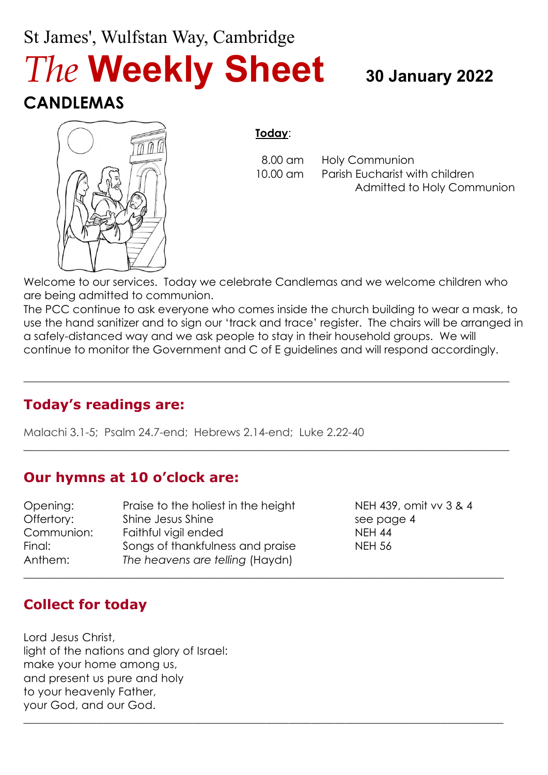# St James', Wulfstan Way, Cambridge *The* **Weekly Sheet <sup>30</sup> January 2022**

# **CANDLEMAS**



#### **Today**:

 8.00 am Holy Communion 10.00 am Parish Eucharist with children Admitted to Holy Communion

Welcome to our services. Today we celebrate Candlemas and we welcome children who are being admitted to communion.

The PCC continue to ask everyone who comes inside the church building to wear a mask, to use the hand sanitizer and to sign our 'track and trace' register. The chairs will be arranged in a safely-distanced way and we ask people to stay in their household groups. We will continue to monitor the Government and C of E guidelines and will respond accordingly.

 $\_$  , and the set of the set of the set of the set of the set of the set of the set of the set of the set of the set of the set of the set of the set of the set of the set of the set of the set of the set of the set of th

 $\_$  , and the set of the set of the set of the set of the set of the set of the set of the set of the set of the set of the set of the set of the set of the set of the set of the set of the set of the set of the set of th

# **Today's readings are:**

Malachi 3.1-5; Psalm 24.7-end; Hebrews 2.14-end; Luke 2.22-40

#### **Our hymns at 10 o'clock are:**

Opening: Praise to the holiest in the height NEH 439, omit vv 3 & 4 Offertory: Shine Jesus Shine Shine Shine Shine Shine Shine Shine Shine Shine Shine Shine Shine Shine Shine Shine Shine Shine Shine Shine Shine Shine Shine Shine Shine Shine Shine Shine Shine Shine Shine Shine Shine Shine S Communion: Faithful vigil ended NEH 44 Final: Songs of thankfulness and praise NEH 56 Anthem: *The heavens are telling* (Haydn)  $\_$  , and the set of the set of the set of the set of the set of the set of the set of the set of the set of the set of the set of the set of the set of the set of the set of the set of the set of the set of the set of th

# **Collect for today**

Lord Jesus Christ, light of the nations and glory of Israel: make your home among us, and present us pure and holy to your heavenly Father, your God, and our God. \_\_\_\_\_\_\_\_\_\_\_\_\_\_\_\_\_\_\_\_\_\_\_\_\_\_\_\_\_\_\_\_\_\_\_\_\_\_\_\_\_\_\_\_\_\_\_\_\_\_\_\_\_\_\_\_\_\_\_\_\_\_\_\_\_\_\_\_\_\_\_\_\_\_\_\_\_\_\_\_\_\_\_\_\_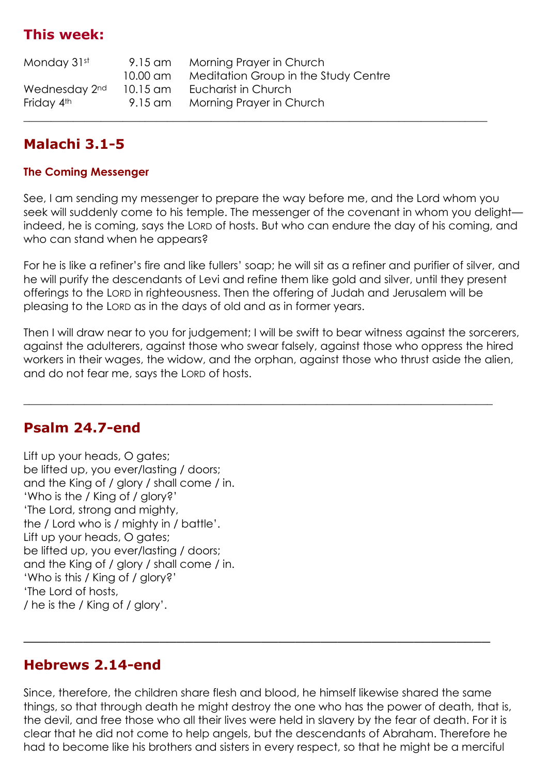# **This week:**

| Monday 31st               | 9.15 am            | Morning Prayer in Church             |
|---------------------------|--------------------|--------------------------------------|
|                           | $10.00 \text{ cm}$ | Meditation Group in the Study Centre |
| Wednesday 2 <sup>nd</sup> | $10.15$ am         | Eucharist in Church                  |
| Friday 4th                | 9.15 am            | Morning Prayer in Church             |

#### **Malachi 3.1-5**

#### **The Coming Messenger**

See, I am sending my messenger to prepare the way before me, and the Lord whom you seek will suddenly come to his temple. The messenger of the covenant in whom you delight indeed, he is coming, says the LORD of hosts. But who can endure the day of his coming, and who can stand when he appears?

 $\_$  , and the set of the set of the set of the set of the set of the set of the set of the set of the set of the set of the set of the set of the set of the set of the set of the set of the set of the set of the set of th

For he is like a refiner's fire and like fullers' soap; he will sit as a refiner and purifier of silver, and he will purify the descendants of Levi and refine them like gold and silver, until they present offerings to the LORD in righteousness. Then the offering of Judah and Jerusalem will be pleasing to the LORD as in the days of old and as in former years.

Then I will draw near to you for judgement; I will be swift to bear witness against the sorcerers, against the adulterers, against those who swear falsely, against those who oppress the hired workers in their wages, the widow, and the orphan, against those who thrust aside the alien, and do not fear me, says the LORD of hosts.

 $\_$  , and the set of the set of the set of the set of the set of the set of the set of the set of the set of the set of the set of the set of the set of the set of the set of the set of the set of the set of the set of th

#### **Psalm 24.7-end**

Lift up your heads, O gates; be lifted up, you ever/lasting / doors; and the King of / glory / shall come / in. 'Who is the / King of / glory?' 'The Lord, strong and mighty, the / Lord who is / mighty in / battle'. Lift up your heads, O gates; be lifted up, you ever/lasting / doors; and the King of / glory / shall come / in. 'Who is this / King of / glory?' 'The Lord of hosts, / he is the / King of / glory'.

#### **Hebrews 2.14-end**

Since, therefore, the children share flesh and blood, he himself likewise shared the same things, so that through death he might destroy the one who has the power of death, that is, the devil, and free those who all their lives were held in slavery by the fear of death. For it is clear that he did not come to help angels, but the descendants of Abraham. Therefore he had to become like his brothers and sisters in every respect, so that he might be a merciful

\_\_\_\_\_\_\_\_\_\_\_\_\_\_\_\_\_\_\_\_\_\_\_\_\_\_\_\_\_\_\_\_\_\_\_\_\_\_\_\_\_\_\_\_\_\_\_\_\_\_\_\_\_\_\_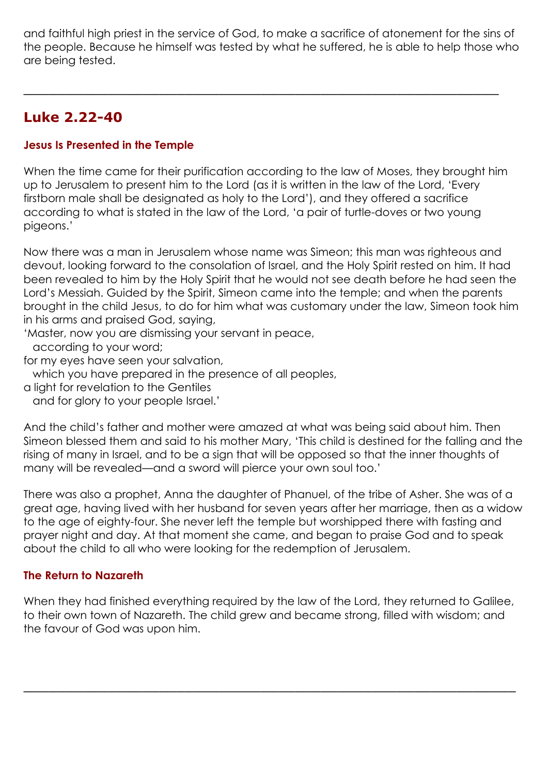and faithful high priest in the service of God, to make a sacrifice of atonement for the sins of the people. Because he himself was tested by what he suffered, he is able to help those who are being tested.

\_\_\_\_\_\_\_\_\_\_\_\_\_\_\_\_\_\_\_\_\_\_\_\_\_\_\_\_\_\_\_\_\_\_\_\_\_\_\_\_\_\_\_\_\_\_\_\_\_\_\_\_\_\_\_\_

# **Luke 2.22-40**

#### **Jesus Is Presented in the Temple**

When the time came for their purification according to the law of Moses, they brought him up to Jerusalem to present him to the Lord (as it is written in the law of the Lord, 'Every firstborn male shall be designated as holy to the Lord'), and they offered a sacrifice according to what is stated in the law of the Lord, 'a pair of turtle-doves or two young pigeons.'

Now there was a man in Jerusalem whose name was Simeon; this man was righteous and devout, looking forward to the consolation of Israel, and the Holy Spirit rested on him. It had been revealed to him by the Holy Spirit that he would not see death before he had seen the Lord's Messiah. Guided by the Spirit, Simeon came into the temple; and when the parents brought in the child Jesus, to do for him what was customary under the law, Simeon took him in his arms and praised God, saying,

'Master, now you are dismissing your servant in peace,

according to your word;

for my eyes have seen your salvation,

which you have prepared in the presence of all peoples,

a light for revelation to the Gentiles

and for glory to your people Israel.'

And the child's father and mother were amazed at what was being said about him. Then Simeon blessed them and said to his mother Mary, 'This child is destined for the falling and the rising of many in Israel, and to be a sign that will be opposed so that the inner thoughts of many will be revealed—and a sword will pierce your own soul too.'

There was also a prophet, Anna the daughter of Phanuel, of the tribe of Asher. She was of a great age, having lived with her husband for seven years after her marriage, then as a widow to the age of eighty-four. She never left the temple but worshipped there with fasting and prayer night and day. At that moment she came, and began to praise God and to speak about the child to all who were looking for the redemption of Jerusalem.

#### **The Return to Nazareth**

When they had finished everything required by the law of the Lord, they returned to Galilee, to their own town of Nazareth. The child grew and became strong, filled with wisdom; and the favour of God was upon him.

\_\_\_\_\_\_\_\_\_\_\_\_\_\_\_\_\_\_\_\_\_\_\_\_\_\_\_\_\_\_\_\_\_\_\_\_\_\_\_\_\_\_\_\_\_\_\_\_\_\_\_\_\_\_\_\_\_\_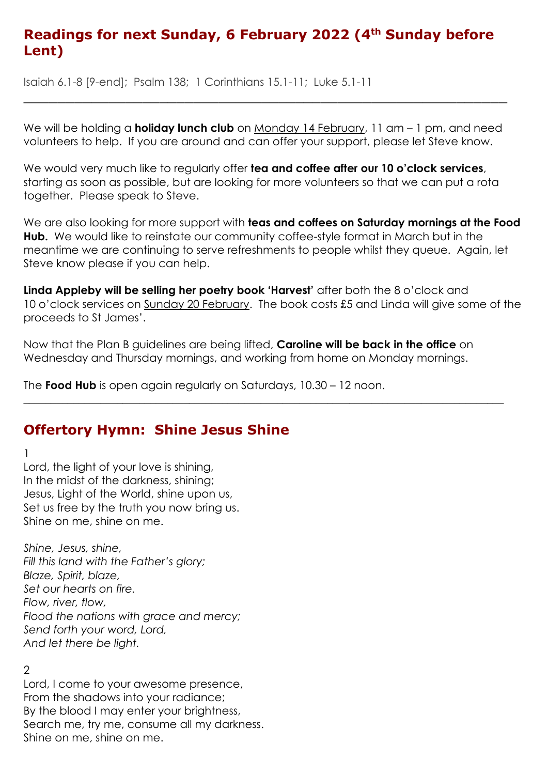# **Readings for next Sunday, 6 February 2022 (4th Sunday before Lent)**

Isaiah 6.1-8 [9-end]; Psalm 138; 1 Corinthians 15.1-11; Luke 5.1-11

We will be holding a **holiday lunch club** on Monday 14 February, 11 am – 1 pm, and need volunteers to help. If you are around and can offer your support, please let Steve know.

\_\_\_\_\_\_\_\_\_\_\_\_\_\_\_\_\_\_\_\_\_\_\_\_\_\_\_\_\_\_\_\_\_\_\_\_\_\_\_\_\_\_\_\_\_\_\_\_\_\_\_\_\_\_\_\_\_

We would very much like to regularly offer **tea and coffee after our 10 o'clock services**, starting as soon as possible, but are looking for more volunteers so that we can put a rota together. Please speak to Steve.

We are also looking for more support with **teas and coffees on Saturday mornings at the Food Hub.** We would like to reinstate our community coffee-style format in March but in the meantime we are continuing to serve refreshments to people whilst they queue. Again, let Steve know please if you can help.

**Linda Appleby will be selling her poetry book 'Harvest'** after both the 8 o'clock and 10 o'clock services on Sunday 20 February. The book costs £5 and Linda will give some of the proceeds to St James'.

Now that the Plan B guidelines are being lifted, **Caroline will be back in the office** on Wednesday and Thursday mornings, and working from home on Monday mornings.

 $\_$  , and the set of the set of the set of the set of the set of the set of the set of the set of the set of the set of the set of the set of the set of the set of the set of the set of the set of the set of the set of th

The **Food Hub** is open again regularly on Saturdays, 10.30 – 12 noon.

#### **Offertory Hymn: Shine Jesus Shine**

1

Lord, the light of your love is shining, In the midst of the darkness, shining; Jesus, Light of the World, shine upon us, Set us free by the truth you now bring us. Shine on me, shine on me.

*Shine, Jesus, shine, Fill this land with the Father's glory; Blaze, Spirit, blaze, Set our hearts on fire. Flow, river, flow, Flood the nations with grace and mercy; Send forth your word, Lord, And let there be light.*

2

Lord, I come to your awesome presence, From the shadows into your radiance; By the blood I may enter your brightness, Search me, try me, consume all my darkness. Shine on me, shine on me.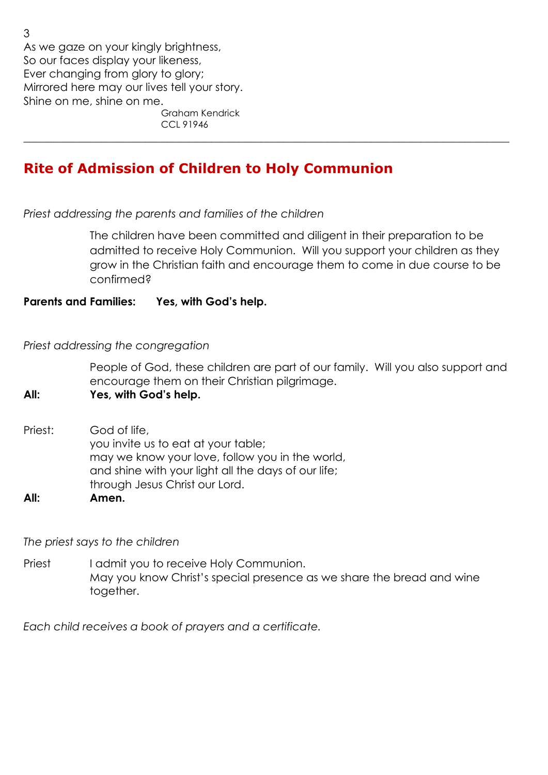As we gaze on your kingly brightness, So our faces display your likeness, Ever changing from glory to glory; Mirrored here may our lives tell your story. Shine on me, shine on me.

 Graham Kendrick CCL 91946

# **Rite of Admission of Children to Holy Communion**

*Priest addressing the parents and families of the children*

The children have been committed and diligent in their preparation to be admitted to receive Holy Communion. Will you support your children as they grow in the Christian faith and encourage them to come in due course to be confirmed?

 $\_$  , and the set of the set of the set of the set of the set of the set of the set of the set of the set of the set of the set of the set of the set of the set of the set of the set of the set of the set of the set of th

**Parents and Families: Yes, with God's help.**

*Priest addressing the congregation*

People of God, these children are part of our family. Will you also support and encourage them on their Christian pilgrimage.

#### **All: Yes, with God's help.**

Priest: God of life, you invite us to eat at your table; may we know your love, follow you in the world, and shine with your light all the days of our life; through Jesus Christ our Lord. **All: Amen.**

*The priest says to the children*

Priest I admit you to receive Holy Communion. May you know Christ's special presence as we share the bread and wine together.

*Each child receives a book of prayers and a certificate.*

3